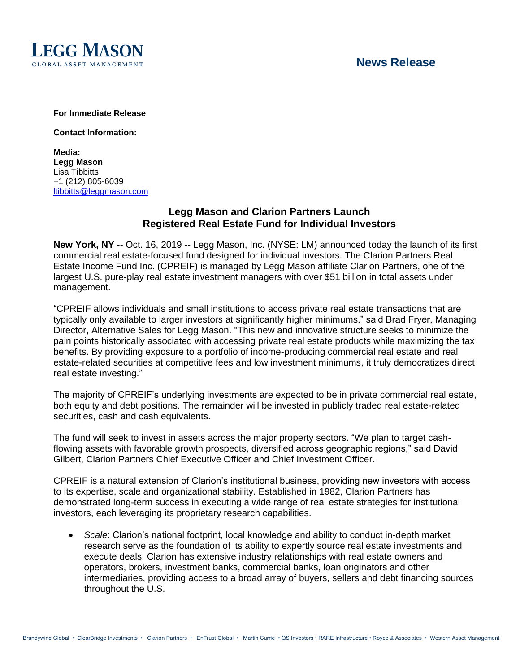

# **News Release**

#### **For Immediate Release**

**Contact Information:**

**Media: Legg Mason** Lisa Tibbitts +1 (212) 805-6039 [ltibbitts@leggmason.com](mailto:ltibbitts@leggmason.com)

### **Legg Mason and Clarion Partners Launch Registered Real Estate Fund for Individual Investors**

**New York, NY** -- Oct. 16, 2019 -- Legg Mason, Inc. (NYSE: LM) announced today the launch of its first commercial real estate-focused fund designed for individual investors. The Clarion Partners Real Estate Income Fund Inc. (CPREIF) is managed by Legg Mason affiliate Clarion Partners, one of the largest U.S. pure-play real estate investment managers with over \$51 billion in total assets under management.

"CPREIF allows individuals and small institutions to access private real estate transactions that are typically only available to larger investors at significantly higher minimums," said Brad Fryer, Managing Director, Alternative Sales for Legg Mason. "This new and innovative structure seeks to minimize the pain points historically associated with accessing private real estate products while maximizing the tax benefits. By providing exposure to a portfolio of income-producing commercial real estate and real estate-related securities at competitive fees and low investment minimums, it truly democratizes direct real estate investing."

The majority of CPREIF's underlying investments are expected to be in private commercial real estate, both equity and debt positions. The remainder will be invested in publicly traded real estate-related securities, cash and cash equivalents.

The fund will seek to invest in assets across the major property sectors. "We plan to target cashflowing assets with favorable growth prospects, diversified across geographic regions," said David Gilbert, Clarion Partners Chief Executive Officer and Chief Investment Officer.

CPREIF is a natural extension of Clarion's institutional business, providing new investors with access to its expertise, scale and organizational stability. Established in 1982, Clarion Partners has demonstrated long-term success in executing a wide range of real estate strategies for institutional investors, each leveraging its proprietary research capabilities.

• *Scale*: Clarion's national footprint, local knowledge and ability to conduct in-depth market research serve as the foundation of its ability to expertly source real estate investments and execute deals. Clarion has extensive industry relationships with real estate owners and operators, brokers, investment banks, commercial banks, loan originators and other intermediaries, providing access to a broad array of buyers, sellers and debt financing sources throughout the U.S.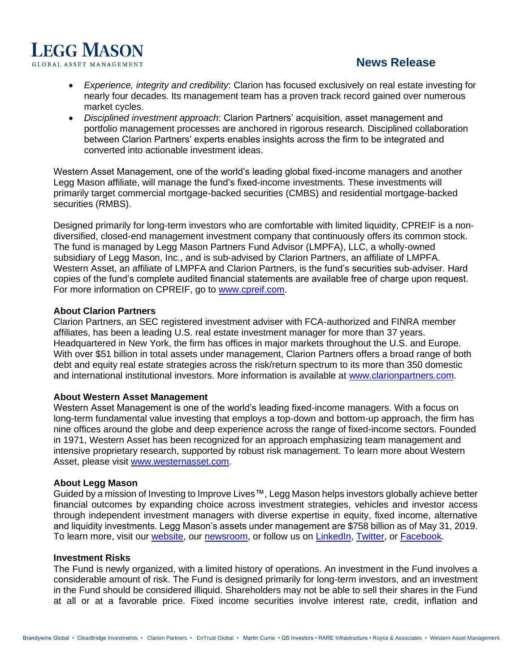

# **News Release**

- *Experience, integrity and credibility*: Clarion has focused exclusively on real estate investing for nearly four decades. Its management team has a proven track record gained over numerous market cycles.
- *Disciplined investment approach*: Clarion Partners' acquisition, asset management and portfolio management processes are anchored in rigorous research. Disciplined collaboration between Clarion Partners' experts enables insights across the firm to be integrated and converted into actionable investment ideas.

Western Asset Management, one of the world's leading global fixed-income managers and another Legg Mason affiliate, will manage the fund's fixed-income investments. These investments will primarily target commercial mortgage-backed securities (CMBS) and residential mortgage-backed securities (RMBS).

Designed primarily for long-term investors who are comfortable with limited liquidity, CPREIF is a nondiversified, closed-end management investment company that continuously offers its common stock. The fund is managed by Legg Mason Partners Fund Advisor (LMPFA), LLC, a wholly-owned subsidiary of Legg Mason, Inc., and is sub-advised by Clarion Partners, an affiliate of LMPFA. Western Asset, an affiliate of LMPFA and Clarion Partners, is the fund's securities sub-adviser. Hard copies of the fund's complete audited financial statements are available free of charge upon request. For more information on CPREIF, go to [www.cpreif.com.](file:///C:/Users/neverts/AppData/Local/Microsoft/Windows/INetCache/Content.Outlook/GCEE07RI/www.cpreif.com)

#### **About Clarion Partners**

Clarion Partners, an SEC registered investment adviser with FCA-authorized and FINRA member affiliates, has been a leading U.S. real estate investment manager for more than 37 years. Headquartered in New York, the firm has offices in major markets throughout the U.S. and Europe. With over \$51 billion in total assets under management, Clarion Partners offers a broad range of both debt and equity real estate strategies across the risk/return spectrum to its more than 350 domestic and international institutional investors. More information is available at [www.clarionpartners.com.](file:///C:/Users/neverts/AppData/Local/Microsoft/Windows/INetCache/Content.Outlook/GCEE07RI/www.clarionpartners.com)

#### **About Western Asset Management**

Western Asset Management is one of the world's leading fixed-income managers. With a focus on long-term fundamental value investing that employs a top-down and bottom-up approach, the firm has nine offices around the globe and deep experience across the range of fixed-income sectors. Founded in 1971, Western Asset has been recognized for an approach emphasizing team management and intensive proprietary research, supported by robust risk management. To learn more about Western Asset, please visit [www.westernasset.com.](http://www.westernasset.com/)

#### **About Legg Mason**

Guided by a mission of Investing to Improve Lives™, Legg Mason helps investors globally achieve better financial outcomes by expanding choice across investment strategies, vehicles and investor access through independent investment managers with diverse expertise in equity, fixed income, alternative and liquidity investments. Legg Mason's assets under management are \$758 billion as of May 31, 2019. To learn more, visit our [website,](http://www.leggmason.com/) our [newsroom,](https://www.leggmason.com/en-us/about/newsroom.html) or follow us on [LinkedIn,](https://www.linkedin.com/company/5232/) [Twitter,](http://www.twitter.com/leggmason) or [Facebook.](http://www.facebook.com/leggmason)

#### **Investment Risks**

The Fund is newly organized, with a limited history of operations. An investment in the Fund involves a considerable amount of risk. The Fund is designed primarily for long-term investors, and an investment in the Fund should be considered illiquid. Shareholders may not be able to sell their shares in the Fund at all or at a favorable price. Fixed income securities involve interest rate, credit, inflation and